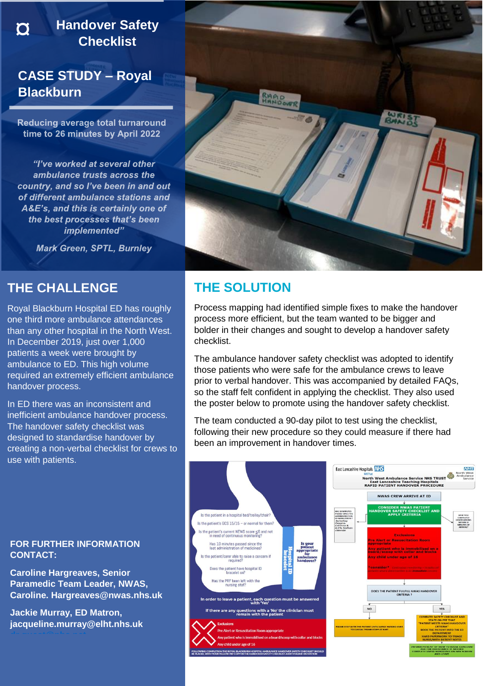¤ **Handover Safety Checklist**

## **CASE STUDY – Royal Blackburn**

Reducing average total turnaround time to 26 minutes by April 2022

"I've worked at several other ambulance trusts across the country, and so I've been in and out of different ambulance stations and A&E's, and this is certainly one of the best processes that's been implemented"

**Mark Green, SPTL, Burnley** 

### **THE CHALLENGE**

Royal Blackburn Hospital ED has roughly one third more ambulance attendances than any other hospital in the North West. In December 2019, just over 1,000 patients a week were brought by ambulance to ED. This high volume required an extremely efficient ambulance handover process.

In ED there was an inconsistent and inefficient ambulance handover process. The handover safety checklist was designed to standardise handover by creating a non-verbal checklist for crews to use with patients.

#### **FOR FURTHER INFORMATION CONTACT:**

**Caroline Hargreaves, Senior Paramedic Team Leader, NWAS, Caroline. Hargreaves@nwas.nhs.uk**

**Jackie Murray, ED Matron, jacqueline.murray@elht.nhs.uk** 



## **THE SOLUTION**

Process mapping had identified simple fixes to make the handover process more efficient, but the team wanted to be bigger and bolder in their changes and sought to develop a handover safety checklist.

The ambulance handover safety checklist was adopted to identify those patients who were safe for the ambulance crews to leave prior to verbal handover. This was accompanied by detailed FAQs, so the staff felt confident in applying the checklist. They also used the poster below to promote using the handover safety checklist.

The team conducted a 90-day pilot to test using the checklist, following their new procedure so they could measure if there had been an improvement in handover times.